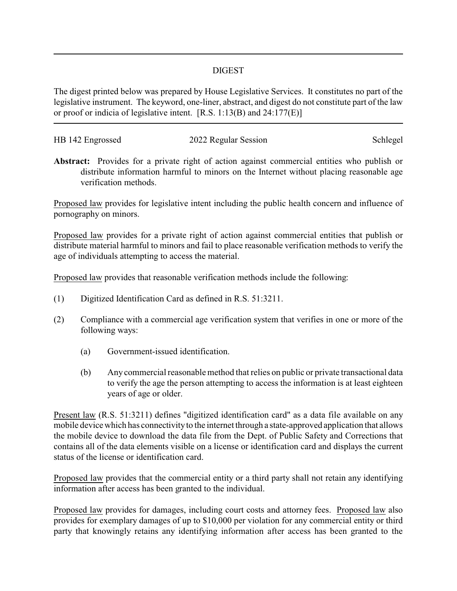## DIGEST

The digest printed below was prepared by House Legislative Services. It constitutes no part of the legislative instrument. The keyword, one-liner, abstract, and digest do not constitute part of the law or proof or indicia of legislative intent. [R.S. 1:13(B) and 24:177(E)]

| HB 142 Engrossed | 2022 Regular Session | Schlegel |
|------------------|----------------------|----------|
|                  |                      |          |

**Abstract:** Provides for a private right of action against commercial entities who publish or distribute information harmful to minors on the Internet without placing reasonable age verification methods.

Proposed law provides for legislative intent including the public health concern and influence of pornography on minors.

Proposed law provides for a private right of action against commercial entities that publish or distribute material harmful to minors and fail to place reasonable verification methods to verify the age of individuals attempting to access the material.

Proposed law provides that reasonable verification methods include the following:

- (1) Digitized Identification Card as defined in R.S. 51:3211.
- (2) Compliance with a commercial age verification system that verifies in one or more of the following ways:
	- (a) Government-issued identification.
	- (b) Any commercial reasonable method that relies on public or private transactional data to verify the age the person attempting to access the information is at least eighteen years of age or older.

Present law (R.S. 51:3211) defines "digitized identification card" as a data file available on any mobile device which has connectivityto the internet through a state-approved application that allows the mobile device to download the data file from the Dept. of Public Safety and Corrections that contains all of the data elements visible on a license or identification card and displays the current status of the license or identification card.

Proposed law provides that the commercial entity or a third party shall not retain any identifying information after access has been granted to the individual.

Proposed law provides for damages, including court costs and attorney fees. Proposed law also provides for exemplary damages of up to \$10,000 per violation for any commercial entity or third party that knowingly retains any identifying information after access has been granted to the